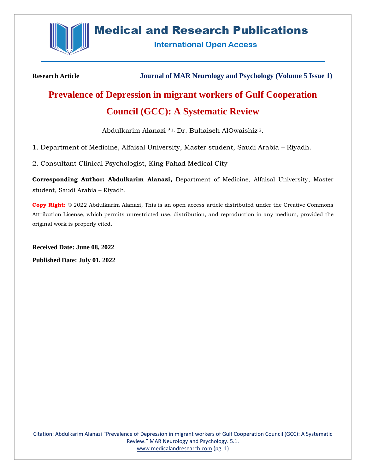

# **Medical and Research Publications**

**International Open Access** 

**Research Article Journal of MAR Neurology and Psychology (Volume 5 Issue 1)**

# **Prevalence of Depression in migrant workers of Gulf Cooperation Council (GCC): A Systematic Review**

Abdulkarim Alanazi \* 1, Dr. Buhaiseh AlOwaishiz <sup>2</sup>.

1. Department of Medicine, Alfaisal University, Master student, Saudi Arabia – Riyadh.

2. Consultant Clinical Psychologist, King Fahad Medical City

**Corresponding Author: Abdulkarim Alanazi,** Department of Medicine, Alfaisal University, Master student, Saudi Arabia – Riyadh.

**Copy Right:** © 2022 Abdulkarim Alanazi, This is an open access article distributed under the Creative Commons Attribution License, which permits unrestricted use, distribution, and reproduction in any medium, provided the original work is properly cited.

**Received Date: June 08, 2022 Published Date: July 01, 2022**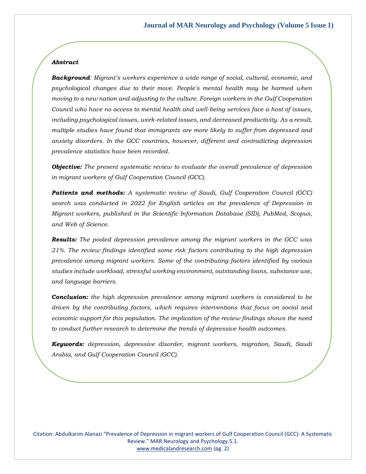# *Abstract*

*Background: Migrant's workers experience a wide range of social, cultural, economic, and psychological changes due to their move. People's mental health may be harmed when moving to a new nation and adjusting to the culture. Foreign workers in the Gulf Cooperation Council who have no access to mental health and well-being services face a host of issues, including psychological issues, work-related issues, and decreased productivity. As a result, multiple studies have found that immigrants are more likely to suffer from depressed and anxiety disorders. In the GCC countries, however, different and contradicting depression prevalence statistics have been recorded.* 

*Objective: The present systematic review to evaluate the overall prevalence of depression in migrant workers of Gulf Cooperation Council (GCC).*

*Patients and methods: A systematic review of Saudi, Gulf Cooperation Council (GCC) search was conducted in 2022 for English articles on the prevalence of Depression in Migrant workers, published in the Scientific Information Database (SID), PubMed, Scopus, and Web of Science.*

*Results: The pooled depression prevalence among the migrant workers in the GCC was 21%. The review findings identified some risk factors contributing to the high depression prevalence among migrant workers. Some of the contributing factors identified by various studies include workload, stressful working environment, outstanding loans, substance use, and language barriers.*

*Conclusion: the high depression prevalence among migrant workers is considered to be driven by the contributing factors, which requires interventions that focus on social and economic support for this population. The implication of the review findings shows the need to conduct further research to determine the trends of depressive health outcomes.*

*Keywords: depression, depressive disorder, migrant workers, migration, Saudi, Saudi Arabia, and Gulf Cooperation Council (GCC).*

Citation: Abdulkarim Alanazi "Prevalence of Depression in migrant workers of Gulf Cooperation Council (GCC): A Systematic Review." MAR Neurology and Psychology.5.1. [www.medicalandresearch.com](http://www.medicalandresearch.com/) (pg. 2)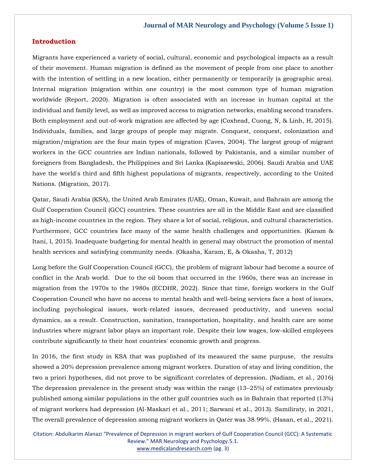### **Introduction**

Migrants have experienced a variety of social, cultural, economic and psychological impacts as a result of their movement. Human migration is defined as the movement of people from one place to another with the intention of settling in a new location, either permanently or temporarily (a geographic area). Internal migration (migration within one country) is the most common type of human migration worldwide (Report, 2020). Migration is often associated with an increase in human capital at the individual and family level, as well as improved access to migration networks, enabling second transfers. Both employment and out-of-work migration are affected by age (Coxhead, Cuong, N, & Linh, H, 2015). Individuals, families, and large groups of people may migrate. Conquest, conquest, colonization and migration/migration are the four main types of migration (Caves, 2004). The largest group of migrant workers in the GCC countries are Indian nationals, followed by Pakistanis, and a similar number of foreigners from Bangladesh, the Philippines and Sri Lanka (Kapiszewski, 2006). Saudi Arabia and UAE have the world's third and fifth highest populations of migrants, respectively, according to the United Nations. (Migration, 2017).

Qatar, Saudi Arabia (KSA), the United Arab Emirates (UAE), Oman, Kuwait, and Bahrain are among the Gulf Cooperation Council (GCC) countries. These countries are all in the Middle East and are classified as high-income countries in the region. They share a lot of social, religious, and cultural characteristics. Furthermore, GCC countries face many of the same health challenges and opportunities. (Karam & Itani, l, 2015). Inadequate budgeting for mental health in general may obstruct the promotion of mental health services and satisfying community needs. (Okasha, Karam, E, & Okasha, T, 2012)

Long before the Gulf Cooperation Council (GCC), the problem of migrant labour had become a source of conflict in the Arab world. Due to the oil boom that occurred in the 1960s, there was an increase in migration from the 1970s to the 1980s (ECDHR, 2022). Since that time, foreign workers in the Gulf Cooperation Council who have no access to mental health and well-being services face a host of issues, including psychological issues, work-related issues, decreased productivity, and uneven social dynamics, as a result. Construction, sanitation, transportation, hospitality, and health care are some industries where migrant labor plays an important role. Despite their low wages, low-skilled employees contribute significantly to their host countries' economic growth and progress.

In 2016, the first study in KSA that was puplished of its measured the same purpuse, the results showed a 20% depression prevalence among migrant workers. Duration of stay and living condition, the two a priori hypotheses, did not prove to be significant correlates of depression. (Nadiam, et al., 2016) The depression prevalence in the present study was within the range (13–25%) of estimates previously published among similar populations in the other gulf countries such as in Bahrain that reported (13%) of migrant workers had depression (Al-Maskari et al., 2011; Sarwani et al., 2013). Samiliraty, in 2021, The overall prevalence of depression among migrant workers in Qater was 38.99%. (Hasan, et al., 2021).

Citation: Abdulkarim Alanazi "Prevalence of Depression in migrant workers of Gulf Cooperation Council (GCC): A Systematic Review." MAR Neurology and Psychology.5.1. [www.medicalandresearch.com](http://www.medicalandresearch.com/) (pg. 3)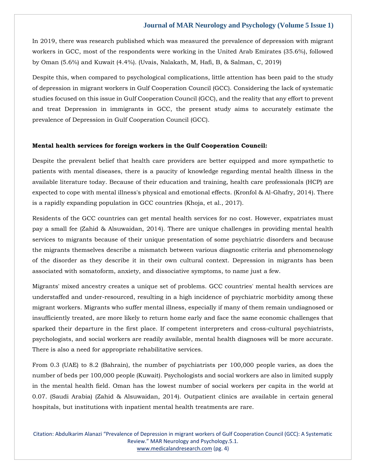In 2019, there was research published which was measured the prevalence of depression with migrant workers in GCC, most of the respondents were working in the United Arab Emirates (35.6%), followed by Oman (5.6%) and Kuwait (4.4%). (Uvais, Nalakath, M, Hafi, B, & Salman, C, 2019)

Despite this, when compared to psychological complications, little attention has been paid to the study of depression in migrant workers in Gulf Cooperation Council (GCC). Considering the lack of systematic studies focused on this issue in Gulf Cooperation Council (GCC), and the reality that any effort to prevent and treat Depression in immigrants in GCC, the present study aims to accurately estimate the prevalence of Depression in Gulf Cooperation Council (GCC).

### **Mental health services for foreign workers in the Gulf Cooperation Council:**

Despite the prevalent belief that health care providers are better equipped and more sympathetic to patients with mental diseases, there is a paucity of knowledge regarding mental health illness in the available literature today. Because of their education and training, health care professionals (HCP) are expected to cope with mental illness's physical and emotional effects. (Kronfol & Al-Ghafry, 2014). There is a rapidly expanding population in GCC countries (Khoja, et al., 2017).

Residents of the GCC countries can get mental health services for no cost. However, expatriates must pay a small fee (Zahid & Alsuwaidan, 2014). There are unique challenges in providing mental health services to migrants because of their unique presentation of some psychiatric disorders and because the migrants themselves describe a mismatch between various diagnostic criteria and phenomenology of the disorder as they describe it in their own cultural context. Depression in migrants has been associated with somatoform, anxiety, and dissociative symptoms, to name just a few.

Migrants' mixed ancestry creates a unique set of problems. GCC countries' mental health services are understaffed and under-resourced, resulting in a high incidence of psychiatric morbidity among these migrant workers. Migrants who suffer mental illness, especially if many of them remain undiagnosed or insufficiently treated, are more likely to return home early and face the same economic challenges that sparked their departure in the first place. If competent interpreters and cross-cultural psychiatrists, psychologists, and social workers are readily available, mental health diagnoses will be more accurate. There is also a need for appropriate rehabilitative services.

From 0.3 (UAE) to 8.2 (Bahrain), the number of psychiatrists per 100,000 people varies, as does the number of beds per 100,000 people (Kuwait). Psychologists and social workers are also in limited supply in the mental health field. Oman has the lowest number of social workers per capita in the world at 0.07. (Saudi Arabia) (Zahid & Alsuwaidan, 2014). Outpatient clinics are available in certain general hospitals, but institutions with inpatient mental health treatments are rare.

Citation: Abdulkarim Alanazi "Prevalence of Depression in migrant workers of Gulf Cooperation Council (GCC): A Systematic Review." MAR Neurology and Psychology.5.1. [www.medicalandresearch.com](http://www.medicalandresearch.com/) (pg. 4)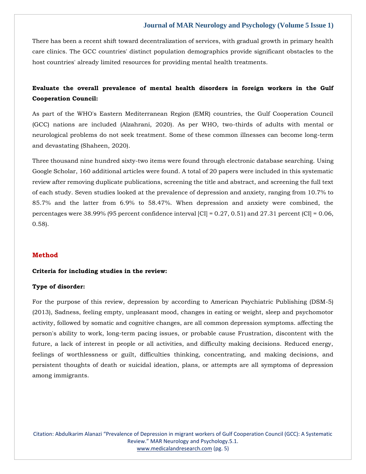There has been a recent shift toward decentralization of services, with gradual growth in primary health care clinics. The GCC countries' distinct population demographics provide significant obstacles to the host countries' already limited resources for providing mental health treatments.

# **Evaluate the overall prevalence of mental health disorders in foreign workers in the Gulf Cooperation Council:**

As part of the WHO's Eastern Mediterranean Region (EMR) countries, the Gulf Cooperation Council (GCC) nations are included (Alzahrani, 2020). As per WHO, two-thirds of adults with mental or neurological problems do not seek treatment. Some of these common illnesses can become long-term and devastating (Shaheen, 2020).

Three thousand nine hundred sixty-two items were found through electronic database searching. Using Google Scholar, 160 additional articles were found. A total of 20 papers were included in this systematic review after removing duplicate publications, screening the title and abstract, and screening the full text of each study. Seven studies looked at the prevalence of depression and anxiety, ranging from 10.7% to 85.7% and the latter from 6.9% to 58.47%. When depression and anxiety were combined, the percentages were  $38.99\%$  (95 percent confidence interval [CI] = 0.27, 0.51) and 27.31 percent (CI] = 0.06, 0.58).

### **Method**

#### **Criteria for including studies in the review:**

### **Type of disorder:**

For the purpose of this review, depression by according to American Psychiatric Publishing (DSM-5) (2013), Sadness, feeling empty, unpleasant mood, changes in eating or weight, sleep and psychomotor activity, followed by somatic and cognitive changes, are all common depression symptoms. affecting the person's ability to work, long-term pacing issues, or probable cause Frustration, discontent with the future, a lack of interest in people or all activities, and difficulty making decisions. Reduced energy, feelings of worthlessness or guilt, difficulties thinking, concentrating, and making decisions, and persistent thoughts of death or suicidal ideation, plans, or attempts are all symptoms of depression among immigrants.

Citation: Abdulkarim Alanazi "Prevalence of Depression in migrant workers of Gulf Cooperation Council (GCC): A Systematic Review." MAR Neurology and Psychology.5.1. [www.medicalandresearch.com](http://www.medicalandresearch.com/) (pg. 5)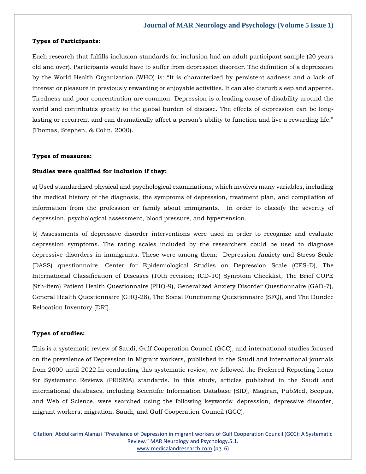### **Types of Participants:**

Each research that fulfills inclusion standards for inclusion had an adult participant sample (20 years old and over). Participants would have to suffer from depression disorder. The definition of a depression by the World Health Organization (WHO) is: "It is characterized by persistent sadness and a lack of interest or pleasure in previously rewarding or enjoyable activities. It can also disturb sleep and appetite. Tiredness and poor concentration are common. Depression is a leading cause of disability around the world and contributes greatly to the global burden of disease. The effects of depression can be longlasting or recurrent and can dramatically affect a person's ability to function and live a rewarding life." (Thomas, Stephen, & Colin, 2000).

#### **Types of measures:**

### **Studies were qualified for inclusion if they:**

a) Used standardized physical and psychological examinations, which involves many variables, including the medical history of the diagnosis, the symptoms of depression, treatment plan, and compilation of information from the profession or family about immigrants. In order to classify the severity of depression, psychological assessment, blood pressure, and hypertension.

b) Assessments of depressive disorder interventions were used in order to recognize and evaluate depression symptoms. The rating scales included by the researchers could be used to diagnose depressive disorders in immigrants. These were among them: Depression Anxiety and Stress Scale (DASS) questionnaire, Center for Epidemiological Studies on Depression Scale (CES-D), The International Classification of Diseases (10th revision; ICD-10) Symptom Checklist, The Brief COPE (9th-item) Patient Health Questionnaire (PHQ-9), Generalized Anxiety Disorder Questionnaire (GAD-7), General Health Questionnaire (GHQ-28), The Social Functioning Questionnaire (SFQ), and The Dundee Relocation Inventory (DRI).

#### **Types of studies:**

This is a systematic review of Saudi, Gulf Cooperation Council (GCC), and international studies focused on the prevalence of Depression in Migrant workers, published in the Saudi and international journals from 2000 until 2022.In conducting this systematic review, we followed the Preferred Reporting Items for Systematic Reviews (PRISMA) standards. In this study, articles published in the Saudi and international databases, including Scientific Information Database (SID), MagIran, PubMed, Scopus, and Web of Science, were searched using the following keywords: depression, depressive disorder, migrant workers, migration, Saudi, and Gulf Cooperation Council (GCC).

Citation: Abdulkarim Alanazi "Prevalence of Depression in migrant workers of Gulf Cooperation Council (GCC): A Systematic Review." MAR Neurology and Psychology.5.1. [www.medicalandresearch.com](http://www.medicalandresearch.com/) (pg. 6)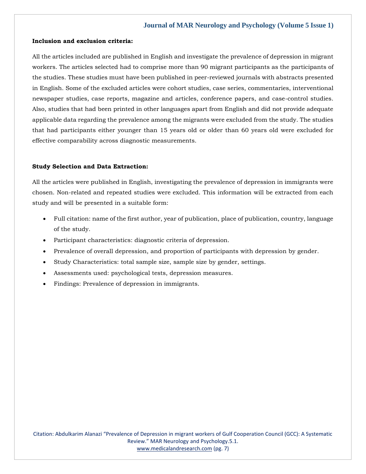### **Inclusion and exclusion criteria:**

All the articles included are published in English and investigate the prevalence of depression in migrant workers. The articles selected had to comprise more than 90 migrant participants as the participants of the studies. These studies must have been published in peer-reviewed journals with abstracts presented in English. Some of the excluded articles were cohort studies, case series, commentaries, interventional newspaper studies, case reports, magazine and articles, conference papers, and case-control studies. Also, studies that had been printed in other languages apart from English and did not provide adequate applicable data regarding the prevalence among the migrants were excluded from the study. The studies that had participants either younger than 15 years old or older than 60 years old were excluded for effective comparability across diagnostic measurements.

### **Study Selection and Data Extraction:**

All the articles were published in English, investigating the prevalence of depression in immigrants were chosen. Non-related and repeated studies were excluded. This information will be extracted from each study and will be presented in a suitable form:

- Full citation: name of the first author, year of publication, place of publication, country, language of the study.
- Participant characteristics: diagnostic criteria of depression.
- Prevalence of overall depression, and proportion of participants with depression by gender.
- Study Characteristics: total sample size, sample size by gender, settings.
- Assessments used: psychological tests, depression measures.
- Findings: Prevalence of depression in immigrants.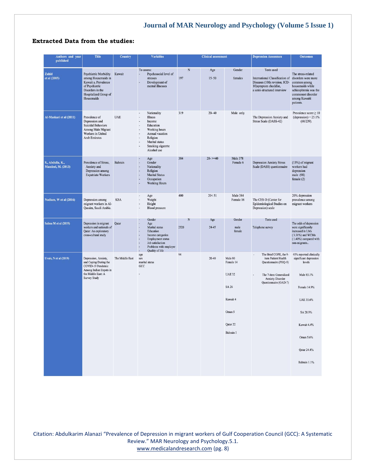# **Extracted Data from the studies:**

| <b>Authors and year</b>                | <b>Title</b>                                                                                                                                      | <b>Country</b>  | <b>Variables</b>                                                                                                                                          | <b>Clinical assessment</b> |                  | <b>Depression Assessmen</b>                                                                   | <b>Outcomes</b>                                                                                                                                                        |                                                                                                                                                                                      |
|----------------------------------------|---------------------------------------------------------------------------------------------------------------------------------------------------|-----------------|-----------------------------------------------------------------------------------------------------------------------------------------------------------|----------------------------|------------------|-----------------------------------------------------------------------------------------------|------------------------------------------------------------------------------------------------------------------------------------------------------------------------|--------------------------------------------------------------------------------------------------------------------------------------------------------------------------------------|
| published                              |                                                                                                                                                   |                 |                                                                                                                                                           |                            |                  |                                                                                               |                                                                                                                                                                        |                                                                                                                                                                                      |
| Zahid<br>et al (2003)                  | Psychiatric Morbidity<br>among Housemaids in<br>Kuwait a. Prevalence<br>of Psychiatric<br>Disorders in the<br>Hospitalized Group of<br>Housemaids | Kuwait          | To assess:<br>Psychosocial level of<br>stresses<br>Development of<br>mental illnesses                                                                     | N<br>197                   | Age<br>$15 - 50$ | Gender<br>females                                                                             | <b>Tests</b> used<br>International Classification of<br>Diseases (10th revision; ICD-<br>10)symptom checklist,<br>a semi-structured interview                          | The stress-related<br>disorders were more<br>common among<br>housemaids while<br>schizophrenia was the<br>commonest disorder<br>among Kuwaiti<br>patients.                           |
| Al-Maskari et al (2011)                | Prevalence of<br>Depression and<br><b>Suicidal Behaviors</b><br>Among Male Migrant<br>Workers in United<br><b>Arab Emirates</b>                   | <b>UAE</b>      | Nationality<br>Illness<br>Income<br>Education<br>Working hours<br>Annual vacation<br>Religion<br>Marital status<br>i,<br>Smoking cigarette<br>Alcohol use | 319                        | $20 - 40$        | Male only                                                                                     | The Depression Anxiety and<br>Stress Scale (DASS-42)                                                                                                                   | Prevalence score $\geq 10$<br>$(depression) = 25.1\%$<br>(60/239).                                                                                                                   |
| S., Abdulla, K.,<br>Mandeel, M. (2013) | Prevalence of Stress,<br>Anxiety and<br>Depression among<br><b>Expatriate Workers</b>                                                             | <b>Bahrain</b>  | Age<br>Gender<br>Nationality<br>Religion<br><b>Marital Status</b><br>Occupation<br><b>Working Hours</b>                                                   | 384                        | $20 - 3 = 40$    | <b>Male 378</b><br>Female 6                                                                   | <b>Depression Anxiety Stress</b><br>Scale (DASS) questionnaire                                                                                                         | $(13%)$ of migrant<br>workers had<br>depression<br>male (98)<br>female $(2)$                                                                                                         |
| Nadiam, W et al (2016)                 | Depression among<br>migrant workers in Al-<br>Qassim, Saudi Arabia.                                                                               | <b>KSA</b>      | Age<br>Weight<br>Height<br><b>Blood pressure</b>                                                                                                          | 400                        | 20 < 51          | Male 384<br>Female 16                                                                         | The CES-D (Center for<br>Epidemiological Studies on<br>Depression) scale                                                                                               | 20% depression<br>prevalence among<br>migrant workers                                                                                                                                |
| Salma M et al (2019)                   | Depression in migrant<br>workers and nationals of<br>Qatar: An exploratory<br>cross-cultural study                                                | Qatar           | Gender<br>Age<br>Marital status<br>Education<br>Income categories<br>Employment status<br>Job satisfaction<br>Problems with employer<br>Quality of life   | N<br>2520                  | Age<br>$24 - 45$ | Gender<br>male<br>female                                                                      | Tests used<br>Telephone survey                                                                                                                                         | The odds of depression<br>were significantly<br>increased in LMs<br>(3.31%) and WCMs<br>(1.40%) compared with<br>non-migrants                                                        |
| <b>Uvais, N</b> et al (2019)           | Depression, Anxiety,<br>and Coping During the<br>COVID-19 Pendemic<br>Among Indian Expats in<br>the Middle East: A<br><b>Survey Study</b>         | The Middle East | age<br>sex<br>marital status<br>GCC                                                                                                                       | 94                         | $20 - 40$        | Male 80<br>Female 14<br><b>UAE 32</b><br>SA 26<br>Kuwait 4<br>Oman 5<br>Qatar 22<br>Bahrain 1 | The Brief COPE, the 9-<br>$\overline{a}$<br>item Patient Health<br>Questionnaire (PHQ-9)<br>The 7-item Generalized<br><b>Anxiety Disorder</b><br>Questionnaire (GAD-7) | 41% reported clinically<br>significant depression<br>levels<br>Male 85.1%<br>Female 14.9%<br>UAE 35.6%<br>SA 28.9%<br>Kuwait 4.4%<br>Oman 5.6%<br><b>Qatar 24.4%</b><br>Bahrain 1.1% |

Citation: Abdulkarim Alanazi "Prevalence of Depression in migrant workers of Gulf Cooperation Council (GCC): A Systematic Review." MAR Neurology and Psychology.5.1. [www.medicalandresearch.com](http://www.medicalandresearch.com/) (pg. 8)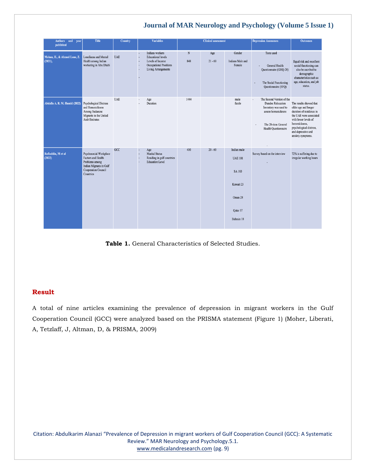| Authors and year<br>published          | <b>Title</b>                                                                                                                                | <b>Country</b> | <b>Variables</b>                                                                                                         |          | <b>Clinical assessment</b> |                                                                                           | <b>Depression Assessmen</b>                                                                                                                          | <b>Outcomes</b>                                                                                                                                                                                                       |
|----------------------------------------|---------------------------------------------------------------------------------------------------------------------------------------------|----------------|--------------------------------------------------------------------------------------------------------------------------|----------|----------------------------|-------------------------------------------------------------------------------------------|------------------------------------------------------------------------------------------------------------------------------------------------------|-----------------------------------------------------------------------------------------------------------------------------------------------------------------------------------------------------------------------|
| Mohan, H., & Ahmed Lone, Z.<br>(2021), | Loneliness and Mental<br>Health among Indian<br>workering in Abu Dhabi                                                                      | <b>UAE</b>     | Indians workers<br><b>Educational levels</b><br>Levels of Income<br>Occupational Positions<br><b>Living Arrangements</b> | N<br>848 | Age<br>$21 - 60$           | Gender<br>Indians Male and<br>Female                                                      | <b>Tests</b> used<br>General Health<br>Questionnaire (GHQ-28)<br>The Social Functioning<br>Questionnaire (SFQ)                                       | Equal risk and excellent<br>social functioning can<br>also be ascribed to<br>demographic<br>characteristics such as<br>age, education, and job<br>status.                                                             |
| Abdalla A. R. M. Hamid (2022)          | <b>Psychological Distress</b><br>and Homesickness<br>Among Sudanese<br>Migrants in the United<br><b>Arab Emirates</b>                       | <b>UAE</b>     | Age<br>Duration                                                                                                          | 1444     |                            | male<br>famle                                                                             | The Second Version of the<br><b>Dundee Relocation</b><br>Inventory was used to<br>assess homesickness<br>The 28-item General<br>Health Questionnaire | The results showed that<br>older age and longer<br>duration of residence in<br>the UAE were associated<br>with lower levels of<br>homesickness,<br>psychological distress,<br>and depressive and<br>anxiety symptoms. |
| Rafiuddin, M et al.<br>(2022)          | Psychosocial Workplace<br><b>Factors and Health</b><br>Problems among<br>Indian Migrants in Gulf<br><b>Cooperation Council</b><br>Countries | GCC            | Age<br>$\blacksquare$<br><b>Marital Status</b><br>Residing in gulf countries<br><b>Education Level</b>                   | 410      | $20 - 60$                  | Indian male<br><b>UAE 101</b><br>SA 183<br>Kuwait 23<br>Oman 28<br>Qatar 57<br>Bahrain 18 | Survey based on the interview                                                                                                                        | 72% is suffering due to<br>irregular working hours                                                                                                                                                                    |

**Table 1.** General Characteristics of Selected Studies.

# **Result**

A total of nine articles examining the prevalence of depression in migrant workers in the Gulf Cooperation Council (GCC) were analyzed based on the PRISMA statement (Figure 1) (Moher, Liberati, A, Tetzlaff, J, Altman, D, & PRISMA, 2009)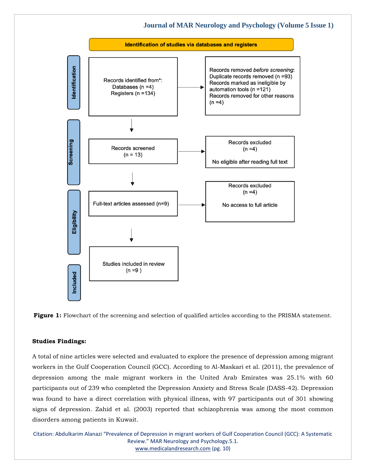

**Figure 1:** Flowchart of the screening and selection of qualified articles according to the PRISMA statement.

### **Studies Findings:**

A total of nine articles were selected and evaluated to explore the presence of depression among migrant workers in the Gulf Cooperation Council (GCC). According to Al-Maskari et al. (2011), the prevalence of depression among the male migrant workers in the United Arab Emirates was 25.1% with 60 participants out of 239 who completed the Depression Anxiety and Stress Scale (DASS-42). Depression was found to have a direct correlation with physical illness, with 97 participants out of 301 showing signs of depression. Zahid et al. (2003) reported that schizophrenia was among the most common disorders among patients in Kuwait.

Citation: Abdulkarim Alanazi "Prevalence of Depression in migrant workers of Gulf Cooperation Council (GCC): A Systematic Review." MAR Neurology and Psychology.5.1. [www.medicalandresearch.com](http://www.medicalandresearch.com/) (pg. 10)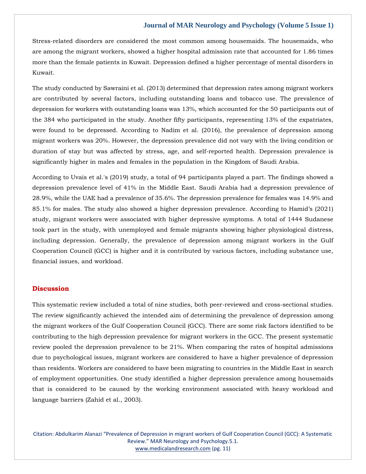Stress-related disorders are considered the most common among housemaids. The housemaids, who are among the migrant workers, showed a higher hospital admission rate that accounted for 1.86 times more than the female patients in Kuwait. Depression defined a higher percentage of mental disorders in Kuwait.

The study conducted by Sawraini et al. (2013) determined that depression rates among migrant workers are contributed by several factors, including outstanding loans and tobacco use. The prevalence of depression for workers with outstanding loans was 13%, which accounted for the 50 participants out of the 384 who participated in the study. Another fifty participants, representing 13% of the expatriates, were found to be depressed. According to Nadim et al. (2016), the prevalence of depression among migrant workers was 20%. However, the depression prevalence did not vary with the living condition or duration of stay but was affected by stress, age, and self-reported health. Depression prevalence is significantly higher in males and females in the population in the Kingdom of Saudi Arabia.

According to Uvais et al.'s (2019) study, a total of 94 participants played a part. The findings showed a depression prevalence level of 41% in the Middle East. Saudi Arabia had a depression prevalence of 28.9%, while the UAE had a prevalence of 35.6%. The depression prevalence for females was 14.9% and 85.1% for males. The study also showed a higher depression prevalence. According to Hamid's (2021) study, migrant workers were associated with higher depressive symptoms. A total of 1444 Sudanese took part in the study, with unemployed and female migrants showing higher physiological distress, including depression. Generally, the prevalence of depression among migrant workers in the Gulf Cooperation Council (GCC) is higher and it is contributed by various factors, including substance use, financial issues, and workload.

### **Discussion**

This systematic review included a total of nine studies, both peer-reviewed and cross-sectional studies. The review significantly achieved the intended aim of determining the prevalence of depression among the migrant workers of the Gulf Cooperation Council (GCC). There are some risk factors identified to be contributing to the high depression prevalence for migrant workers in the GCC. The present systematic review pooled the depression prevalence to be 21%. When comparing the rates of hospital admissions due to psychological issues, migrant workers are considered to have a higher prevalence of depression than residents. Workers are considered to have been migrating to countries in the Middle East in search of employment opportunities. One study identified a higher depression prevalence among housemaids that is considered to be caused by the working environment associated with heavy workload and language barriers (Zahid et al., 2003).

Citation: Abdulkarim Alanazi "Prevalence of Depression in migrant workers of Gulf Cooperation Council (GCC): A Systematic Review." MAR Neurology and Psychology.5.1. [www.medicalandresearch.com](http://www.medicalandresearch.com/) (pg. 11)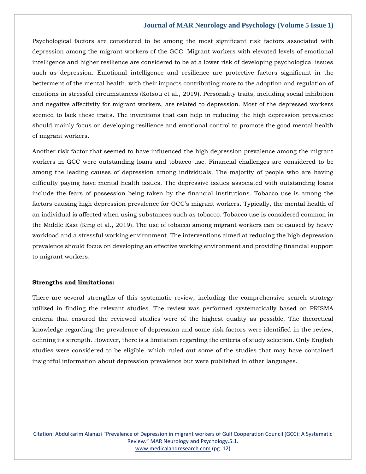Psychological factors are considered to be among the most significant risk factors associated with depression among the migrant workers of the GCC. Migrant workers with elevated levels of emotional intelligence and higher resilience are considered to be at a lower risk of developing psychological issues such as depression. Emotional intelligence and resilience are protective factors significant in the betterment of the mental health, with their impacts contributing more to the adoption and regulation of emotions in stressful circumstances (Kotsou et al., 2019). Personality traits, including social inhibition and negative affectivity for migrant workers, are related to depression. Most of the depressed workers seemed to lack these traits. The inventions that can help in reducing the high depression prevalence should mainly focus on developing resilience and emotional control to promote the good mental health of migrant workers.

Another risk factor that seemed to have influenced the high depression prevalence among the migrant workers in GCC were outstanding loans and tobacco use. Financial challenges are considered to be among the leading causes of depression among individuals. The majority of people who are having difficulty paying have mental health issues. The depressive issues associated with outstanding loans include the fears of possession being taken by the financial institutions. Tobacco use is among the factors causing high depression prevalence for GCC's migrant workers. Typically, the mental health of an individual is affected when using substances such as tobacco. Tobacco use is considered common in the Middle East (King et al., 2019). The use of tobacco among migrant workers can be caused by heavy workload and a stressful working environment. The interventions aimed at reducing the high depression prevalence should focus on developing an effective working environment and providing financial support to migrant workers.

### **Strengths and limitations:**

There are several strengths of this systematic review, including the comprehensive search strategy utilized in finding the relevant studies. The review was performed systematically based on PRISMA criteria that ensured the reviewed studies were of the highest quality as possible. The theoretical knowledge regarding the prevalence of depression and some risk factors were identified in the review, defining its strength. However, there is a limitation regarding the criteria of study selection. Only English studies were considered to be eligible, which ruled out some of the studies that may have contained insightful information about depression prevalence but were published in other languages.

Citation: Abdulkarim Alanazi "Prevalence of Depression in migrant workers of Gulf Cooperation Council (GCC): A Systematic Review." MAR Neurology and Psychology.5.1. [www.medicalandresearch.com](http://www.medicalandresearch.com/) (pg. 12)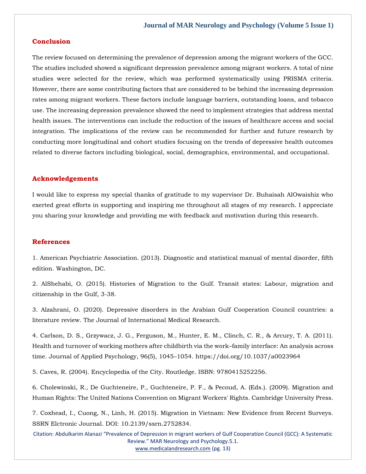## **Conclusion**

The review focused on determining the prevalence of depression among the migrant workers of the GCC. The studies included showed a significant depression prevalence among migrant workers. A total of nine studies were selected for the review, which was performed systematically using PRISMA criteria. However, there are some contributing factors that are considered to be behind the increasing depression rates among migrant workers. These factors include language barriers, outstanding loans, and tobacco use. The increasing depression prevalence showed the need to implement strategies that address mental health issues. The interventions can include the reduction of the issues of healthcare access and social integration. The implications of the review can be recommended for further and future research by conducting more longitudinal and cohort studies focusing on the trends of depressive health outcomes related to diverse factors including biological, social, demographics, environmental, and occupational.

### **Acknowledgements**

I would like to express my special thanks of gratitude to my supervisor Dr. Buhaisah AlOwaishiz who exerted great efforts in supporting and inspiring me throughout all stages of my research. I appreciate you sharing your knowledge and providing me with feedback and motivation during this research.

### **References**

[1. American Psychiatric Association. \(2013\). Diagnostic and statistical manual of mental disorder, fifth](https://www.google.com/search?q=Diagnostic+and+statistical+manual+of+mental+disorder%2C+fifth+edition.&oq=Diagnostic+and+statistical+manual+of+mental+disorder%2C+fifth+edition.&aqs=chrome..69i57j0i10i22i30j0i22i30l8.486j0j9&sourceid=chrome&ie=UTF-8)  [edition. Washington, DC.](https://www.google.com/search?q=Diagnostic+and+statistical+manual+of+mental+disorder%2C+fifth+edition.&oq=Diagnostic+and+statistical+manual+of+mental+disorder%2C+fifth+edition.&aqs=chrome..69i57j0i10i22i30j0i22i30l8.486j0j9&sourceid=chrome&ie=UTF-8)

[2. AlShehabi, O. \(2015\). Histories of Migration to the Gulf. Transit states: Labour, migration and](https://www.google.com/search?q=Histories+of+Migration+to+the+Gulf.+Transit+states%3A+Labour%2C+migration+and+citizenship+in+the+Gulf&sxsrf=ALiCzsYQY6mw1au__NnzE4kOKTPEoz4i6Q%3A1655104913499&ei=keWmYpaKHpXy4-EPk_6ogA4&ved=0ahUKEwjWlr2j8qn4AhUV-TgGHRM_CuAQ4dUDCA4&oq=Histories+of+Migration+to+the+Gulf.+Transit+states%3A+Labour%2C+migration+and+citizenship+in+the+Gulf&gs_lcp=Cgdnd3Mtd2l6EAw6BwgjEOoCECdKBAhBGABKBAhGGABQugJYugJgjAVoAXABeACAAVyIAVySAQExmAEAoAEBoAECsAEKwAEB&sclient=gws-wiz)  [citizenship in the Gulf, 3-38.](https://www.google.com/search?q=Histories+of+Migration+to+the+Gulf.+Transit+states%3A+Labour%2C+migration+and+citizenship+in+the+Gulf&sxsrf=ALiCzsYQY6mw1au__NnzE4kOKTPEoz4i6Q%3A1655104913499&ei=keWmYpaKHpXy4-EPk_6ogA4&ved=0ahUKEwjWlr2j8qn4AhUV-TgGHRM_CuAQ4dUDCA4&oq=Histories+of+Migration+to+the+Gulf.+Transit+states%3A+Labour%2C+migration+and+citizenship+in+the+Gulf&gs_lcp=Cgdnd3Mtd2l6EAw6BwgjEOoCECdKBAhBGABKBAhGGABQugJYugJgjAVoAXABeACAAVyIAVySAQExmAEAoAEBoAECsAEKwAEB&sclient=gws-wiz)

[3. Alzahrani, O. \(2020\). Depressive disorders in the Arabian Gulf Cooperation Council countries: a](https://www.google.com/search?q=Depressive+disorders+in+the+Arabian+Gulf+Cooperation+Council+countries%3A+a+literature+review&sxsrf=ALiCzsadCsz-PiHsX94fke8mLTEaf_prog%3A1655104928600&ei=oOWmYtKlJM354-EP5fKJkAU&ved=0ahUKEwjS9daq8qn4AhXN_DgGHWV5AlIQ4dUDCA4&oq=Depressive+disorders+in+the+Arabian+Gulf+Cooperation+Council+countries%3A+a+literature+review&gs_lcp=Cgdnd3Mtd2l6EAwyBwgjEOoCECcyBwgjEOoCECcyBwgjEOoCECcyBwgjEOoCECcyBwgjEOoCECcyBwgjEOoCECcyBwgjEOoCECcyBwgjEOoCECcyBwgjEOoCECcyBwgjEOoCECdKBAhBGABKBAhGGABQwAFYwAFg6wNoAXAAeACAAZQCiAGUApIBAzItMZgBAKABAaABArABCsABAQ&sclient=gws-wiz)  [literature review. The Journal of International Medical Research.](https://www.google.com/search?q=Depressive+disorders+in+the+Arabian+Gulf+Cooperation+Council+countries%3A+a+literature+review&sxsrf=ALiCzsadCsz-PiHsX94fke8mLTEaf_prog%3A1655104928600&ei=oOWmYtKlJM354-EP5fKJkAU&ved=0ahUKEwjS9daq8qn4AhXN_DgGHWV5AlIQ4dUDCA4&oq=Depressive+disorders+in+the+Arabian+Gulf+Cooperation+Council+countries%3A+a+literature+review&gs_lcp=Cgdnd3Mtd2l6EAwyBwgjEOoCECcyBwgjEOoCECcyBwgjEOoCECcyBwgjEOoCECcyBwgjEOoCECcyBwgjEOoCECcyBwgjEOoCECcyBwgjEOoCECcyBwgjEOoCECcyBwgjEOoCECdKBAhBGABKBAhGGABQwAFYwAFg6wNoAXAAeACAAZQCiAGUApIBAzItMZgBAKABAaABArABCsABAQ&sclient=gws-wiz)

[4. Carlson, D. S., Grzywacz, J. G., Ferguson, M., Hunter, E. M., Clinch, C. R., & Arcury, T. A. \(2011\).](file:///C:/Users/Arief%20Mahimudh/Desktop/June/NE/4.%20Carlson,%20D.%20S.,%20Grzywacz,%20J.%20G.,%20Ferguson,%20M.,%20Hunter,%20E.%20M.,%20Clinch,%20C.%20R.,%20&%20Arcury,%20T.%20A.%20(2011).%20Health%20and%20turnover%20of%20working%20mothers%20after%20childbirth%20via%20the%20work–family%20interface:%20An%20analysis%20across%20time.%20Journal%20of%20Applied%20Psychology,%2096(5),%201045–1054.%20https:/doi.org/10.1037/a0023964)  [Health and turnover of working mothers after childbirth via the work](file:///C:/Users/Arief%20Mahimudh/Desktop/June/NE/4.%20Carlson,%20D.%20S.,%20Grzywacz,%20J.%20G.,%20Ferguson,%20M.,%20Hunter,%20E.%20M.,%20Clinch,%20C.%20R.,%20&%20Arcury,%20T.%20A.%20(2011).%20Health%20and%20turnover%20of%20working%20mothers%20after%20childbirth%20via%20the%20work–family%20interface:%20An%20analysis%20across%20time.%20Journal%20of%20Applied%20Psychology,%2096(5),%201045–1054.%20https:/doi.org/10.1037/a0023964)–family interface: An analysis across [time. Journal of Applied Psychology, 96\(5\), 1045](file:///C:/Users/Arief%20Mahimudh/Desktop/June/NE/4.%20Carlson,%20D.%20S.,%20Grzywacz,%20J.%20G.,%20Ferguson,%20M.,%20Hunter,%20E.%20M.,%20Clinch,%20C.%20R.,%20&%20Arcury,%20T.%20A.%20(2011).%20Health%20and%20turnover%20of%20working%20mothers%20after%20childbirth%20via%20the%20work–family%20interface:%20An%20analysis%20across%20time.%20Journal%20of%20Applied%20Psychology,%2096(5),%201045–1054.%20https:/doi.org/10.1037/a0023964)–1054. https://doi.org/10.1037/a0023964

[5. Caves, R. \(2004\). Encyclopedia of the City. Routledge. ISBN: 9780415252256.](https://www.google.com/search?q=Encyclopedia+of+the+City&sxsrf=ALiCzsbn2i_Z9hYdSiMT68B5DKCrxf79jA%3A1655104940885&ei=rOWmYsrPNc-D4-EP_d20qAw&ved=0ahUKEwjK1cSw8qn4AhXPwTgGHf0uDcUQ4dUDCA4&oq=Encyclopedia+of+the+City&gs_lcp=Cgdnd3Mtd2l6EAwyBwgjEOoCECcyBwgjEOoCECcyBwgjEOoCECcyBwgjEOoCECcyBwgjEOoCECcyBwgjEOoCECcyBwgjEOoCECcyBwgjEOoCECcyBwgjEOoCECcyBwgjEOoCECdKBAhBGABKBAhGGABQvAJYvAJglQdoAXAAeACAAQCIAQCSAQCYAQCgAQGgAQKwAQrAAQE&sclient=gws-wiz)

[6. Cholewinski, R., De Guchteneire, P., Guchteneire, P. F., & Pecoud, A. \(Eds.\). \(2009\). Migration and](https://www.google.com/search?q=Migration+and+Human+Rights%3A+The+United+Nations+Convention+on+Migrant+Workers%27+Rights&sxsrf=ALiCzsZS2IyVZ5A6V3wZuzr-ZJoRiJqRZg%3A1655104956423&ei=vOWmYrGvGcjg4-EP2vmT8AI&ved=0ahUKEwix_fi38qn4AhVI8DgGHdr8BC4Q4dUDCA4&oq=Migration+and+Human+Rights%3A+The+United+Nations+Convention+on+Migrant+Workers%27+Rights&gs_lcp=Cgdnd3Mtd2l6EAwyBAgAEB46BwgjEOoCECdKBAhBGABKBAhGGABQG1gbYJwEaAFwAXgAgAFdiAFdkgEBMZgBAKABAaABArABCsABAQ&sclient=gws-wiz)  [Human Rights: The United Nations Convention on Migrant Workers' Rights. Cambridge University Press.](https://www.google.com/search?q=Migration+and+Human+Rights%3A+The+United+Nations+Convention+on+Migrant+Workers%27+Rights&sxsrf=ALiCzsZS2IyVZ5A6V3wZuzr-ZJoRiJqRZg%3A1655104956423&ei=vOWmYrGvGcjg4-EP2vmT8AI&ved=0ahUKEwix_fi38qn4AhVI8DgGHdr8BC4Q4dUDCA4&oq=Migration+and+Human+Rights%3A+The+United+Nations+Convention+on+Migrant+Workers%27+Rights&gs_lcp=Cgdnd3Mtd2l6EAwyBAgAEB46BwgjEOoCECdKBAhBGABKBAhGGABQG1gbYJwEaAFwAXgAgAFdiAFdkgEBMZgBAKABAaABArABCsABAQ&sclient=gws-wiz)

[7. Coxhead, I., Cuong, N., Linh, H. \(2015\). Migration in Vietnam: New Evidence from Recent Surveys.](https://www.google.com/search?q=Migration+in+Vietnam%3A+New+Evidence+from+Recent+Surveys&sxsrf=ALiCzsaBEzt-WCzkJFcsN3HJf0TEG0s0zw%3A1655104969708&ei=yeWmYr3rKrzt4-EPgaKG6As&ved=0ahUKEwj986O-8qn4AhW89jgGHQGRAb0Q4dUDCA4&oq=Migration+in+Vietnam%3A+New+Evidence+from+Recent+Surveys&gs_lcp=Cgdnd3Mtd2l6EAwyBggAEB4QFjoHCCMQ6gIQJ0oECEEYAEoECEYYAFDBAljBAmCzBWgBcAF4AIABkwGIAZMBkgEDMC4xmAEAoAEBoAECsAEKwAEB&sclient=gws-wiz)  [SSRN Elctronic Journal. DOI: 10.2139/ssrn.2752834.](https://www.google.com/search?q=Migration+in+Vietnam%3A+New+Evidence+from+Recent+Surveys&sxsrf=ALiCzsaBEzt-WCzkJFcsN3HJf0TEG0s0zw%3A1655104969708&ei=yeWmYr3rKrzt4-EPgaKG6As&ved=0ahUKEwj986O-8qn4AhW89jgGHQGRAb0Q4dUDCA4&oq=Migration+in+Vietnam%3A+New+Evidence+from+Recent+Surveys&gs_lcp=Cgdnd3Mtd2l6EAwyBggAEB4QFjoHCCMQ6gIQJ0oECEEYAEoECEYYAFDBAljBAmCzBWgBcAF4AIABkwGIAZMBkgEDMC4xmAEAoAEBoAECsAEKwAEB&sclient=gws-wiz)

Citation: Abdulkarim Alanazi "Prevalence of Depression in migrant workers of Gulf Cooperation Council (GCC): A Systematic Review." MAR Neurology and Psychology.5.1. [www.medicalandresearch.com](http://www.medicalandresearch.com/) (pg. 13)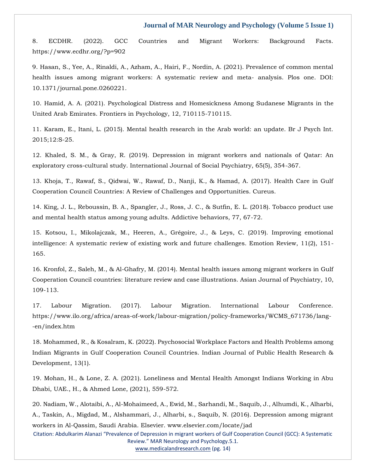[8. ECDHR. \(2022\). GCC Countries and Migrant Workers: Background Facts.](file:///C:/Users/Arief%20Mahimudh/Desktop/June/NE/8.%20ECDHR.%20(2022).%20GCC%20Countries%20and%20Migrant%20Workers:%20Background%20Facts.%20https:/www.ecdhr.org/%3fp=902)  [https://www.ecdhr.org/?p=902](file:///C:/Users/Arief%20Mahimudh/Desktop/June/NE/8.%20ECDHR.%20(2022).%20GCC%20Countries%20and%20Migrant%20Workers:%20Background%20Facts.%20https:/www.ecdhr.org/%3fp=902)

[9. Hasan, S., Yee, A., Rinaldi, A., Azham, A., Hairi, F., Nordin, A. \(2021\). Prevalence of common mental](https://www.google.com/search?q=Prevalence+of+common+mental+health+issues+among+migrant+workers%3A+A+systematic+review+and+meta-+analysis&sxsrf=ALiCzsZFJFzOkiL4b4IL1YGIeeu_u6x7VA%3A1655104983484&ei=1-WmYtSOHbGw4-EP1tGQiAY&ved=0ahUKEwiU1uzE8qn4AhUx2DgGHdYoBGEQ4dUDCA4&oq=Prevalence+of+common+mental+health+issues+among+migrant+workers%3A+A+systematic+review+and+meta-+analysis&gs_lcp=Cgdnd3Mtd2l6EAwyBwgjEOoCECcyBwgjEOoCECcyBwgjEOoCECcyBwgjEOoCECcyBwgjEOoCECcyBwgjEOoCECcyBwgjEOoCECcyBwgjEOoCECcyBwgjEOoCECcyBwgjEOoCECdKBAhBGABKBAhGGABQelh6YPUDaAFwAXgAgAEAiAEAkgEAmAEAoAEBoAECsAEKwAEB&sclient=gws-wiz)  [health issues among migrant workers: A systematic review and meta-](https://www.google.com/search?q=Prevalence+of+common+mental+health+issues+among+migrant+workers%3A+A+systematic+review+and+meta-+analysis&sxsrf=ALiCzsZFJFzOkiL4b4IL1YGIeeu_u6x7VA%3A1655104983484&ei=1-WmYtSOHbGw4-EP1tGQiAY&ved=0ahUKEwiU1uzE8qn4AhUx2DgGHdYoBGEQ4dUDCA4&oq=Prevalence+of+common+mental+health+issues+among+migrant+workers%3A+A+systematic+review+and+meta-+analysis&gs_lcp=Cgdnd3Mtd2l6EAwyBwgjEOoCECcyBwgjEOoCECcyBwgjEOoCECcyBwgjEOoCECcyBwgjEOoCECcyBwgjEOoCECcyBwgjEOoCECcyBwgjEOoCECcyBwgjEOoCECcyBwgjEOoCECdKBAhBGABKBAhGGABQelh6YPUDaAFwAXgAgAEAiAEAkgEAmAEAoAEBoAECsAEKwAEB&sclient=gws-wiz) analysis. Plos one. DOI: [10.1371/journal.pone.0260221.](https://www.google.com/search?q=Prevalence+of+common+mental+health+issues+among+migrant+workers%3A+A+systematic+review+and+meta-+analysis&sxsrf=ALiCzsZFJFzOkiL4b4IL1YGIeeu_u6x7VA%3A1655104983484&ei=1-WmYtSOHbGw4-EP1tGQiAY&ved=0ahUKEwiU1uzE8qn4AhUx2DgGHdYoBGEQ4dUDCA4&oq=Prevalence+of+common+mental+health+issues+among+migrant+workers%3A+A+systematic+review+and+meta-+analysis&gs_lcp=Cgdnd3Mtd2l6EAwyBwgjEOoCECcyBwgjEOoCECcyBwgjEOoCECcyBwgjEOoCECcyBwgjEOoCECcyBwgjEOoCECcyBwgjEOoCECcyBwgjEOoCECcyBwgjEOoCECcyBwgjEOoCECdKBAhBGABKBAhGGABQelh6YPUDaAFwAXgAgAEAiAEAkgEAmAEAoAEBoAECsAEKwAEB&sclient=gws-wiz)

[10. Hamid, A. A. \(2021\). Psychological Distress and Homesickness Among Sudanese Migrants in the](https://www.google.com/search?q=Psychological+Distress+and+Homesickness+Among+Sudanese+Migrants+in+the+United+Arab+Emirates.+&sxsrf=ALiCzsZQixB_6oTNVY3X4-TJXoGAnh5NIA%3A1655104996308&ei=5OWmYqm7EvbY4-EP6dC28AI&ved=0ahUKEwipvfvK8qn4AhV27DgGHWmoDS4Q4dUDCA4&oq=Psychological+Distress+and+Homesickness+Among+Sudanese+Migrants+in+the+United+Arab+Emirates.+&gs_lcp=Cgdnd3Mtd2l6EAwyBwgjEOoCECcyBwgjEOoCECcyBwgjEOoCECcyBwgjEOoCECcyBwgjEOoCECcyBwgjEOoCECcyBwgjEOoCECcyBwgjEOoCECcyBwgjEOoCECcyBwgjEOoCECdKBAhBGABKBAhGGABQwAJYwAJg5AZoAXAAeACAAQCIAQCSAQCYAQCgAQGgAQKwAQrAAQE&sclient=gws-wiz)  [United Arab Emirates. Frontiers in Psychology, 12, 710115-710115.](https://www.google.com/search?q=Psychological+Distress+and+Homesickness+Among+Sudanese+Migrants+in+the+United+Arab+Emirates.+&sxsrf=ALiCzsZQixB_6oTNVY3X4-TJXoGAnh5NIA%3A1655104996308&ei=5OWmYqm7EvbY4-EP6dC28AI&ved=0ahUKEwipvfvK8qn4AhV27DgGHWmoDS4Q4dUDCA4&oq=Psychological+Distress+and+Homesickness+Among+Sudanese+Migrants+in+the+United+Arab+Emirates.+&gs_lcp=Cgdnd3Mtd2l6EAwyBwgjEOoCECcyBwgjEOoCECcyBwgjEOoCECcyBwgjEOoCECcyBwgjEOoCECcyBwgjEOoCECcyBwgjEOoCECcyBwgjEOoCECcyBwgjEOoCECcyBwgjEOoCECdKBAhBGABKBAhGGABQwAJYwAJg5AZoAXAAeACAAQCIAQCSAQCYAQCgAQGgAQKwAQrAAQE&sclient=gws-wiz)

[11. Karam, E., Itani, L. \(2015\). Mental health research in the Arab world: an update. Br J Psych Int.](https://www.google.com/search?q=Mental+health+research+in+the+Arab+world%3A+an+update&sxsrf=ALiCzsbyIZCBSucvREoYp7IEd4N_u9rnNw%3A1655105011874&ei=8-WmYt-GNYPg4-EP3Ius0A4&ved=0ahUKEwifzLHS8qn4AhUD8DgGHdwFC-oQ4dUDCA4&oq=Mental+health+research+in+the+Arab+world%3A+an+update&gs_lcp=Cgdnd3Mtd2l6EAwyBwgjEOoCECcyBwgjEOoCECcyBwgjEOoCECcyBwgjEOoCECcyBwgjEOoCECcyBwgjEOoCECcyBwgjEOoCECcyBwgjEOoCECcyBwgjEOoCECcyBwgjEOoCECdKBAhBGABKBAhGGABQvgJYvgJg3AZoAXAAeACAAQCIAQCSAQCYAQCgAQGgAQKwAQrAAQE&sclient=gws-wiz)  [2015;12:S-25.](https://www.google.com/search?q=Mental+health+research+in+the+Arab+world%3A+an+update&sxsrf=ALiCzsbyIZCBSucvREoYp7IEd4N_u9rnNw%3A1655105011874&ei=8-WmYt-GNYPg4-EP3Ius0A4&ved=0ahUKEwifzLHS8qn4AhUD8DgGHdwFC-oQ4dUDCA4&oq=Mental+health+research+in+the+Arab+world%3A+an+update&gs_lcp=Cgdnd3Mtd2l6EAwyBwgjEOoCECcyBwgjEOoCECcyBwgjEOoCECcyBwgjEOoCECcyBwgjEOoCECcyBwgjEOoCECcyBwgjEOoCECcyBwgjEOoCECcyBwgjEOoCECcyBwgjEOoCECdKBAhBGABKBAhGGABQvgJYvgJg3AZoAXAAeACAAQCIAQCSAQCYAQCgAQGgAQKwAQrAAQE&sclient=gws-wiz)

[12. Khaled, S. M., & Gray, R. \(2019\). Depression in migrant workers and nationals of Qatar: An](https://www.google.com/search?q=Depression+in+migrant+workers+and+nationals+of+Qatar%3A+An+exploratory+cross-cultural+study.&sxsrf=ALiCzsZPgYP9zGSA7Qg-cDezPL_bE-uS3w%3A1655105022745&ei=_uWmYpOPLb3KpgfKu7yABQ&ved=0ahUKEwiThsnX8qn4AhU9pekKHcodD1AQ4dUDCA4&oq=Depression+in+migrant+workers+and+nationals+of+Qatar%3A+An+exploratory+cross-cultural+study.&gs_lcp=Cgdnd3Mtd2l6EAw6BwgjEOoCECdKBAhBGABKBAhGGABQvAJYvAJgxwRoAXAAeACAAXKIAXKSAQMwLjGYAQCgAQGgAQKwAQrAAQE&sclient=gws-wiz)  [exploratory cross-cultural study. International Journal of Social Psychiatry, 65\(5\), 354-367.](https://www.google.com/search?q=Depression+in+migrant+workers+and+nationals+of+Qatar%3A+An+exploratory+cross-cultural+study.&sxsrf=ALiCzsZPgYP9zGSA7Qg-cDezPL_bE-uS3w%3A1655105022745&ei=_uWmYpOPLb3KpgfKu7yABQ&ved=0ahUKEwiThsnX8qn4AhU9pekKHcodD1AQ4dUDCA4&oq=Depression+in+migrant+workers+and+nationals+of+Qatar%3A+An+exploratory+cross-cultural+study.&gs_lcp=Cgdnd3Mtd2l6EAw6BwgjEOoCECdKBAhBGABKBAhGGABQvAJYvAJgxwRoAXAAeACAAXKIAXKSAQMwLjGYAQCgAQGgAQKwAQrAAQE&sclient=gws-wiz)

[13. Khoja, T., Rawaf, S., Qidwai, W., Rawaf, D., Nanji, K., & Hamad, A. \(2017\). Health Care in Gulf](https://www.google.com/search?q=Health+Care+in+Gulf+Cooperation+Council+Countries%3A+A+Review+of+Challenges+and+Opportunities&sxsrf=ALiCzsYpE75bburDLZXMXgq2ElP5bjVwHw%3A1655105035131&ei=C-amYobIB6X04-EP_JWJqAU&ved=0ahUKEwjG-bzd8qn4AhUl-jgGHfxKAlUQ4dUDCA4&oq=Health+Care+in+Gulf+Cooperation+Council+Countries%3A+A+Review+of+Challenges+and+Opportunities&gs_lcp=Cgdnd3Mtd2l6EAwyBQgAEIAEOgcIIxDqAhAnSgQIQRgASgQIRhgAULgCWLgCYLEEaAFwAHgAgAFdiAFdkgEBMZgBAKABAaABArABCsABAQ&sclient=gws-wiz)  [Cooperation Council Countries: A Review of Challenges](https://www.google.com/search?q=Health+Care+in+Gulf+Cooperation+Council+Countries%3A+A+Review+of+Challenges+and+Opportunities&sxsrf=ALiCzsYpE75bburDLZXMXgq2ElP5bjVwHw%3A1655105035131&ei=C-amYobIB6X04-EP_JWJqAU&ved=0ahUKEwjG-bzd8qn4AhUl-jgGHfxKAlUQ4dUDCA4&oq=Health+Care+in+Gulf+Cooperation+Council+Countries%3A+A+Review+of+Challenges+and+Opportunities&gs_lcp=Cgdnd3Mtd2l6EAwyBQgAEIAEOgcIIxDqAhAnSgQIQRgASgQIRhgAULgCWLgCYLEEaAFwAHgAgAFdiAFdkgEBMZgBAKABAaABArABCsABAQ&sclient=gws-wiz) and Opportunities. Cureus.

[14. King, J. L., Reboussin, B. A., Spangler, J., Ross, J. C., & Sutfin, E. L. \(2018\). Tobacco product use](https://www.google.com/search?q=Tobacco+product+use+and+mental+health+status+among+young+adults.&sxsrf=ALiCzsZejALuJLh9onbi9IvtHYOQiES6Hw%3A1655105048828&ei=GOamYteIMrCF4-EPzoGOgAo&ved=0ahUKEwjX9IDk8qn4AhWwwjgGHc6AA6AQ4dUDCA4&oq=Tobacco+product+use+and+mental+health+status+among+young+adults.&gs_lcp=Cgdnd3Mtd2l6EAwyBggAEB4QFjoHCCMQ6gIQJ0oECEEYAEoECEYYAFCKAViKAWCwBWgBcAF4AIABeogBepIBAzAuMZgBAKABAaABArABCsABAQ&sclient=gws-wiz)  [and mental health status among young adults. Addictive behaviors, 77, 67-72.](https://www.google.com/search?q=Tobacco+product+use+and+mental+health+status+among+young+adults.&sxsrf=ALiCzsZejALuJLh9onbi9IvtHYOQiES6Hw%3A1655105048828&ei=GOamYteIMrCF4-EPzoGOgAo&ved=0ahUKEwjX9IDk8qn4AhWwwjgGHc6AA6AQ4dUDCA4&oq=Tobacco+product+use+and+mental+health+status+among+young+adults.&gs_lcp=Cgdnd3Mtd2l6EAwyBggAEB4QFjoHCCMQ6gIQJ0oECEEYAEoECEYYAFCKAViKAWCwBWgBcAF4AIABeogBepIBAzAuMZgBAKABAaABArABCsABAQ&sclient=gws-wiz)

[15. Kotsou, I., Mikolajczak, M., Heeren, A., Grégoire, J., & Leys, C. \(2019\). Improving emotional](https://www.google.com/search?q=Improving+emotional+intelligence%3A+A+systematic+review+of+existing+work+and+future+challenges.&sxsrf=ALiCzsYKhIWfdwuCN2jQ3shdVU8gP-bmRQ%3A1655105062327&ei=JuamYujKE7Gw4-EP1tGQiAY&ved=0ahUKEwjo9bjq8qn4AhUx2DgGHdYoBGEQ4dUDCA4&oq=Improving+emotional+intelligence%3A+A+systematic+review+of+existing+work+and+future+challenges.&gs_lcp=Cgdnd3Mtd2l6EAwyBwgjEOoCECcyBwgjEOoCECcyBwgjEOoCECcyBwgjEOoCECcyBwgjEOoCECcyBwgjEOoCECcyBwgjEOoCECcyBwgjEOoCECcyBwgjEOoCECcyBwgjEOoCECdKBAhBGABKBAhGGABQxAJYxAJgtwhoAXAAeACAAZoCiAGaApIBAzItMZgBAKABAaABArABCsABAQ&sclient=gws-wiz)  [intelligence: A systematic review of existing work and future challenges. Emotion Review, 11\(2\), 151-](https://www.google.com/search?q=Improving+emotional+intelligence%3A+A+systematic+review+of+existing+work+and+future+challenges.&sxsrf=ALiCzsYKhIWfdwuCN2jQ3shdVU8gP-bmRQ%3A1655105062327&ei=JuamYujKE7Gw4-EP1tGQiAY&ved=0ahUKEwjo9bjq8qn4AhUx2DgGHdYoBGEQ4dUDCA4&oq=Improving+emotional+intelligence%3A+A+systematic+review+of+existing+work+and+future+challenges.&gs_lcp=Cgdnd3Mtd2l6EAwyBwgjEOoCECcyBwgjEOoCECcyBwgjEOoCECcyBwgjEOoCECcyBwgjEOoCECcyBwgjEOoCECcyBwgjEOoCECcyBwgjEOoCECcyBwgjEOoCECcyBwgjEOoCECdKBAhBGABKBAhGGABQxAJYxAJgtwhoAXAAeACAAZoCiAGaApIBAzItMZgBAKABAaABArABCsABAQ&sclient=gws-wiz) [165.](https://www.google.com/search?q=Improving+emotional+intelligence%3A+A+systematic+review+of+existing+work+and+future+challenges.&sxsrf=ALiCzsYKhIWfdwuCN2jQ3shdVU8gP-bmRQ%3A1655105062327&ei=JuamYujKE7Gw4-EP1tGQiAY&ved=0ahUKEwjo9bjq8qn4AhUx2DgGHdYoBGEQ4dUDCA4&oq=Improving+emotional+intelligence%3A+A+systematic+review+of+existing+work+and+future+challenges.&gs_lcp=Cgdnd3Mtd2l6EAwyBwgjEOoCECcyBwgjEOoCECcyBwgjEOoCECcyBwgjEOoCECcyBwgjEOoCECcyBwgjEOoCECcyBwgjEOoCECcyBwgjEOoCECcyBwgjEOoCECcyBwgjEOoCECdKBAhBGABKBAhGGABQxAJYxAJgtwhoAXAAeACAAZoCiAGaApIBAzItMZgBAKABAaABArABCsABAQ&sclient=gws-wiz)

[16. Kronfol, Z., Saleh, M., & Al-Ghafry, M. \(2014\). Mental health issues among migrant workers in Gulf](https://www.google.com/search?q=Mental+health+issues+among+migrant+workers+in+Gulf+Cooperation+Council+countries%3A+literature+review+and+case+illustrations&sxsrf=ALiCzsY3ooVv4ia1YXtF5oGDTlWWNPARsw%3A1655105117000&ei=XOamYtLWPO_0juMPop-H-A4&ved=0ahUKEwjS9MGE86n4AhVvumMGHaLPAe8Q4dUDCA4&oq=Mental+health+issues+among+migrant+workers+in+Gulf+Cooperation+Council+countries%3A+literature+review+and+case+illustrations&gs_lcp=Cgdnd3Mtd2l6EAwyBwgjEOoCECcyBwgjEOoCECcyBwgjEOoCECcyBwgjEOoCECcyBwgjEOoCECcyBwgjEOoCECcyBwgjEOoCECcyBwgjEOoCECcyBwgjEOoCECcyBwgjEOoCECdKBAhBGABKBAhGGABQwAJYwAJgvAhoAXABeACAAQCIAQCSAQCYAQCgAQGgAQKwAQrAAQE&sclient=gws-wiz)  [Cooperation Council countries: literature review and case illustrations. Asian Journal of Psychiatry, 10,](https://www.google.com/search?q=Mental+health+issues+among+migrant+workers+in+Gulf+Cooperation+Council+countries%3A+literature+review+and+case+illustrations&sxsrf=ALiCzsY3ooVv4ia1YXtF5oGDTlWWNPARsw%3A1655105117000&ei=XOamYtLWPO_0juMPop-H-A4&ved=0ahUKEwjS9MGE86n4AhVvumMGHaLPAe8Q4dUDCA4&oq=Mental+health+issues+among+migrant+workers+in+Gulf+Cooperation+Council+countries%3A+literature+review+and+case+illustrations&gs_lcp=Cgdnd3Mtd2l6EAwyBwgjEOoCECcyBwgjEOoCECcyBwgjEOoCECcyBwgjEOoCECcyBwgjEOoCECcyBwgjEOoCECcyBwgjEOoCECcyBwgjEOoCECcyBwgjEOoCECcyBwgjEOoCECdKBAhBGABKBAhGGABQwAJYwAJgvAhoAXABeACAAQCIAQCSAQCYAQCgAQGgAQKwAQrAAQE&sclient=gws-wiz)  [109-113.](https://www.google.com/search?q=Mental+health+issues+among+migrant+workers+in+Gulf+Cooperation+Council+countries%3A+literature+review+and+case+illustrations&sxsrf=ALiCzsY3ooVv4ia1YXtF5oGDTlWWNPARsw%3A1655105117000&ei=XOamYtLWPO_0juMPop-H-A4&ved=0ahUKEwjS9MGE86n4AhVvumMGHaLPAe8Q4dUDCA4&oq=Mental+health+issues+among+migrant+workers+in+Gulf+Cooperation+Council+countries%3A+literature+review+and+case+illustrations&gs_lcp=Cgdnd3Mtd2l6EAwyBwgjEOoCECcyBwgjEOoCECcyBwgjEOoCECcyBwgjEOoCECcyBwgjEOoCECcyBwgjEOoCECcyBwgjEOoCECcyBwgjEOoCECcyBwgjEOoCECcyBwgjEOoCECdKBAhBGABKBAhGGABQwAJYwAJgvAhoAXABeACAAQCIAQCSAQCYAQCgAQGgAQKwAQrAAQE&sclient=gws-wiz)

[17. Labour Migration. \(2017\). Labour Migration. International Labour Conference.](file:///C:/Users/Arief%20Mahimudh/Desktop/June/NE/17.%20Labour%20Migration.%20(2017).%20Labour%20Migration.%20International%20Labour%20Conference.%20https:/www.ilo.org/africa/areas-of-work/labour-migration/policy-frameworks/WCMS_671736/lang--en/index.htm)  [https://www.ilo.org/africa/areas-of-work/labour-migration/policy-frameworks/WCMS\\_671736/lang-](file:///C:/Users/Arief%20Mahimudh/Desktop/June/NE/17.%20Labour%20Migration.%20(2017).%20Labour%20Migration.%20International%20Labour%20Conference.%20https:/www.ilo.org/africa/areas-of-work/labour-migration/policy-frameworks/WCMS_671736/lang--en/index.htm) [-en/index.htm](file:///C:/Users/Arief%20Mahimudh/Desktop/June/NE/17.%20Labour%20Migration.%20(2017).%20Labour%20Migration.%20International%20Labour%20Conference.%20https:/www.ilo.org/africa/areas-of-work/labour-migration/policy-frameworks/WCMS_671736/lang--en/index.htm)

[18. Mohammed, R., & Kosalram, K. \(2022\). Psychosocial Workplace Factors and Health Problems among](https://www.google.com/search?q=Psychosocial+Workplace+Factors+and+Health+Problems+among+Indian+Migrants+in+Gulf+Cooperation+Council+Countries&sxsrf=ALiCzsbX8-bdEUIvhLM45LVUH7iopTzxYA%3A1655105128692&ei=aOamYtvsKfDa4-EP7N-TkA4&ved=0ahUKEwjbwIuK86n4AhVw7TgGHezvBOIQ4dUDCA4&oq=Psychosocial+Workplace+Factors+and+Health+Problems+among+Indian+Migrants+in+Gulf+Cooperation+Council+Countries&gs_lcp=Cgdnd3Mtd2l6EAwyBwgjEOoCECcyBwgjEOoCECcyBwgjEOoCECcyBwgjEOoCECcyBwgjEOoCECcyBwgjEOoCECcyBwgjEOoCECcyBwgjEOoCECcyBwgjEOoCECcyBwgjEOoCECdKBAhBGABKBAhGGABQzQJYzQJgxAdoAXAAeACAAQCIAQCSAQCYAQCgAQGgAQKwAQrAAQE&sclient=gws-wiz)  [Indian Migrants in Gulf Cooperation Council Countries. Indian Journal of Public Health Research &](https://www.google.com/search?q=Psychosocial+Workplace+Factors+and+Health+Problems+among+Indian+Migrants+in+Gulf+Cooperation+Council+Countries&sxsrf=ALiCzsbX8-bdEUIvhLM45LVUH7iopTzxYA%3A1655105128692&ei=aOamYtvsKfDa4-EP7N-TkA4&ved=0ahUKEwjbwIuK86n4AhVw7TgGHezvBOIQ4dUDCA4&oq=Psychosocial+Workplace+Factors+and+Health+Problems+among+Indian+Migrants+in+Gulf+Cooperation+Council+Countries&gs_lcp=Cgdnd3Mtd2l6EAwyBwgjEOoCECcyBwgjEOoCECcyBwgjEOoCECcyBwgjEOoCECcyBwgjEOoCECcyBwgjEOoCECcyBwgjEOoCECcyBwgjEOoCECcyBwgjEOoCECcyBwgjEOoCECdKBAhBGABKBAhGGABQzQJYzQJgxAdoAXAAeACAAQCIAQCSAQCYAQCgAQGgAQKwAQrAAQE&sclient=gws-wiz)  [Development, 13\(1\).](https://www.google.com/search?q=Psychosocial+Workplace+Factors+and+Health+Problems+among+Indian+Migrants+in+Gulf+Cooperation+Council+Countries&sxsrf=ALiCzsbX8-bdEUIvhLM45LVUH7iopTzxYA%3A1655105128692&ei=aOamYtvsKfDa4-EP7N-TkA4&ved=0ahUKEwjbwIuK86n4AhVw7TgGHezvBOIQ4dUDCA4&oq=Psychosocial+Workplace+Factors+and+Health+Problems+among+Indian+Migrants+in+Gulf+Cooperation+Council+Countries&gs_lcp=Cgdnd3Mtd2l6EAwyBwgjEOoCECcyBwgjEOoCECcyBwgjEOoCECcyBwgjEOoCECcyBwgjEOoCECcyBwgjEOoCECcyBwgjEOoCECcyBwgjEOoCECcyBwgjEOoCECcyBwgjEOoCECdKBAhBGABKBAhGGABQzQJYzQJgxAdoAXAAeACAAQCIAQCSAQCYAQCgAQGgAQKwAQrAAQE&sclient=gws-wiz)

[19. Mohan, H., & Lone, Z. A. \(2021\). Loneliness and Mental Health Amongst Indians Working in Abu](https://www.google.com/search?q=Loneliness+and+Mental+Health+Amongst+Indians+Working+in+Abu+Dhabi%2C+UAE&sxsrf=ALiCzsZdCh7cQUORMur-RWboKODgptYSEQ%3A1655105139931&ei=c-amYtizOPrl4-EPgLew0AQ&ved=0ahUKEwiYubmP86n4AhX68jgGHYAbDEoQ4dUDCA4&oq=Loneliness+and+Mental+Health+Amongst+Indians+Working+in+Abu+Dhabi%2C+UAE&gs_lcp=Cgdnd3Mtd2l6EAw6BwgjEOoCECdKBAhBGABKBAhGGABQyQJYyQJg7QRoAXABeACAAVyIAVySAQExmAEAoAEBoAECsAEKwAEB&sclient=gws-wiz)  [Dhabi, UAE., H., & Ahmed Lone, \(2021\), 559-572.](https://www.google.com/search?q=Loneliness+and+Mental+Health+Amongst+Indians+Working+in+Abu+Dhabi%2C+UAE&sxsrf=ALiCzsZdCh7cQUORMur-RWboKODgptYSEQ%3A1655105139931&ei=c-amYtizOPrl4-EPgLew0AQ&ved=0ahUKEwiYubmP86n4AhX68jgGHYAbDEoQ4dUDCA4&oq=Loneliness+and+Mental+Health+Amongst+Indians+Working+in+Abu+Dhabi%2C+UAE&gs_lcp=Cgdnd3Mtd2l6EAw6BwgjEOoCECdKBAhBGABKBAhGGABQyQJYyQJg7QRoAXABeACAAVyIAVySAQExmAEAoAEBoAECsAEKwAEB&sclient=gws-wiz)

Citation: Abdulkarim Alanazi "Prevalence of Depression in migrant workers of Gulf Cooperation Council (GCC): A Systematic Review." MAR Neurology and Psychology.5.1. [20. Nadiam, W., Alotaibi, A., Al-Mohaimeed, A., Ewid, M., Sarhandi, M., Saquib, J., Alhumdi, K., Alharbi,](file:///C:/Users/Arief%20Mahimudh/Desktop/June/NE/20.%20Nadiam,%20W.,%20Alotaibi,%20A.,%20Al-Mohaimeed,%20A.,%20Ewid,%20M.,%20Sarhandi,%20M.,%20Saquib,%20J.,%20Alhumdi,%20K.,%20Alharbi,%20A.,%20Taskin,%20A.,%20Migdad,%20M.,%20Alshammari,%20J.,%20Alharbi,%20s.,%20Saquib,%20N.%20(2016).%20Depression%20among%20migrant%20workers%20in%20Al-Qassim,%20Saudi%20Arabia.%20Elsevier.%20www.elsevier.com/locate/jad)  [A., Taskin, A., Migdad, M., Alshammari, J., Alharbi, s., Saquib, N. \(2016\). Depression among migrant](file:///C:/Users/Arief%20Mahimudh/Desktop/June/NE/20.%20Nadiam,%20W.,%20Alotaibi,%20A.,%20Al-Mohaimeed,%20A.,%20Ewid,%20M.,%20Sarhandi,%20M.,%20Saquib,%20J.,%20Alhumdi,%20K.,%20Alharbi,%20A.,%20Taskin,%20A.,%20Migdad,%20M.,%20Alshammari,%20J.,%20Alharbi,%20s.,%20Saquib,%20N.%20(2016).%20Depression%20among%20migrant%20workers%20in%20Al-Qassim,%20Saudi%20Arabia.%20Elsevier.%20www.elsevier.com/locate/jad)  [workers in Al-Qassim, Saudi Arabia. Elsevier. www.elsevier.com/locate/jad](file:///C:/Users/Arief%20Mahimudh/Desktop/June/NE/20.%20Nadiam,%20W.,%20Alotaibi,%20A.,%20Al-Mohaimeed,%20A.,%20Ewid,%20M.,%20Sarhandi,%20M.,%20Saquib,%20J.,%20Alhumdi,%20K.,%20Alharbi,%20A.,%20Taskin,%20A.,%20Migdad,%20M.,%20Alshammari,%20J.,%20Alharbi,%20s.,%20Saquib,%20N.%20(2016).%20Depression%20among%20migrant%20workers%20in%20Al-Qassim,%20Saudi%20Arabia.%20Elsevier.%20www.elsevier.com/locate/jad)

[www.medicalandresearch.com](http://www.medicalandresearch.com/) (pg. 14)